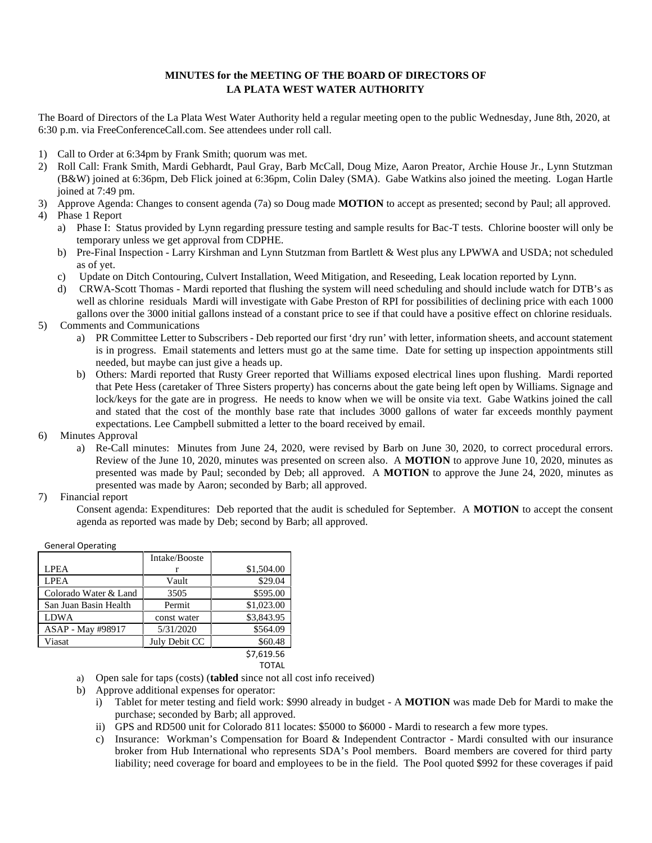## **MINUTES for the MEETING OF THE BOARD OF DIRECTORS OF LA PLATA WEST WATER AUTHORITY**

The Board of Directors of the La Plata West Water Authority held a regular meeting open to the public Wednesday, June 8th, 2020, at 6:30 p.m. via FreeConferenceCall.com. See attendees under roll call.

- 1) Call to Order at 6:34pm by Frank Smith; quorum was met.
- 2) Roll Call: Frank Smith, Mardi Gebhardt, Paul Gray, Barb McCall, Doug Mize, Aaron Preator, Archie House Jr., Lynn Stutzman (B&W) joined at 6:36pm, Deb Flick joined at 6:36pm, Colin Daley (SMA). Gabe Watkins also joined the meeting. Logan Hartle joined at 7:49 pm.
- 3) Approve Agenda: Changes to consent agenda (7a) so Doug made **MOTION** to accept as presented; second by Paul; all approved.
- 4) Phase 1 Report
	- a) Phase I: Status provided by Lynn regarding pressure testing and sample results for Bac-T tests. Chlorine booster will only be temporary unless we get approval from CDPHE.
	- b) Pre-Final Inspection Larry Kirshman and Lynn Stutzman from Bartlett & West plus any LPWWA and USDA; not scheduled as of yet.
	- c) Update on Ditch Contouring, Culvert Installation, Weed Mitigation, and Reseeding, Leak location reported by Lynn.
	- d) CRWA-Scott Thomas Mardi reported that flushing the system will need scheduling and should include watch for DTB's as well as chlorine residuals Mardi will investigate with Gabe Preston of RPI for possibilities of declining price with each 1000 gallons over the 3000 initial gallons instead of a constant price to see if that could have a positive effect on chlorine residuals.
- 5) Comments and Communications
	- a) PR Committee Letter to Subscribers Deb reported our first 'dry run' with letter, information sheets, and account statement is in progress. Email statements and letters must go at the same time. Date for setting up inspection appointments still needed, but maybe can just give a heads up.
	- b) Others: Mardi reported that Rusty Greer reported that Williams exposed electrical lines upon flushing. Mardi reported that Pete Hess (caretaker of Three Sisters property) has concerns about the gate being left open by Williams. Signage and lock/keys for the gate are in progress. He needs to know when we will be onsite via text. Gabe Watkins joined the call and stated that the cost of the monthly base rate that includes 3000 gallons of water far exceeds monthly payment expectations. Lee Campbell submitted a letter to the board received by email.
- 6) Minutes Approval
	- a) Re-Call minutes: Minutes from June 24, 2020, were revised by Barb on June 30, 2020, to correct procedural errors. Review of the June 10, 2020, minutes was presented on screen also. A **MOTION** to approve June 10, 2020, minutes as presented was made by Paul; seconded by Deb; all approved. A **MOTION** to approve the June 24, 2020, minutes as presented was made by Aaron; seconded by Barb; all approved.
- 7) Financial report

Consent agenda: Expenditures: Deb reported that the audit is scheduled for September. A **MOTION** to accept the consent agenda as reported was made by Deb; second by Barb; all approved.

| <b>General Operating</b> |               |                  |
|--------------------------|---------------|------------------|
|                          | Intake/Booste |                  |
| <b>LPEA</b>              |               | \$1,504.00       |
| <b>LPEA</b>              | Vault         | \$29.04          |
| Colorado Water & Land    | 3505          | \$595.00         |
| San Juan Basin Health    | Permit        | \$1,023.00       |
| <b>LDWA</b>              | const water   | \$3,843.95       |
| ASAP - May #98917        | 5/31/2020     | \$564.09         |
| Viasat                   | July Debit CC | \$60.48          |
|                          |               | <b>C7 610 56</b> |

## \$7,619.56 TOTAL

a) Open sale for taps (costs) (**tabled** since not all cost info received)

b) Approve additional expenses for operator:

- i) Tablet for meter testing and field work: \$990 already in budget A **MOTION** was made Deb for Mardi to make the purchase; seconded by Barb; all approved.
- ii) GPS and RD500 unit for Colorado 811 locates: \$5000 to \$6000 Mardi to research a few more types.
- c) Insurance: Workman's Compensation for Board & Independent Contractor Mardi consulted with our insurance broker from Hub International who represents SDA's Pool members. Board members are covered for third party liability; need coverage for board and employees to be in the field. The Pool quoted \$992 for these coverages if paid